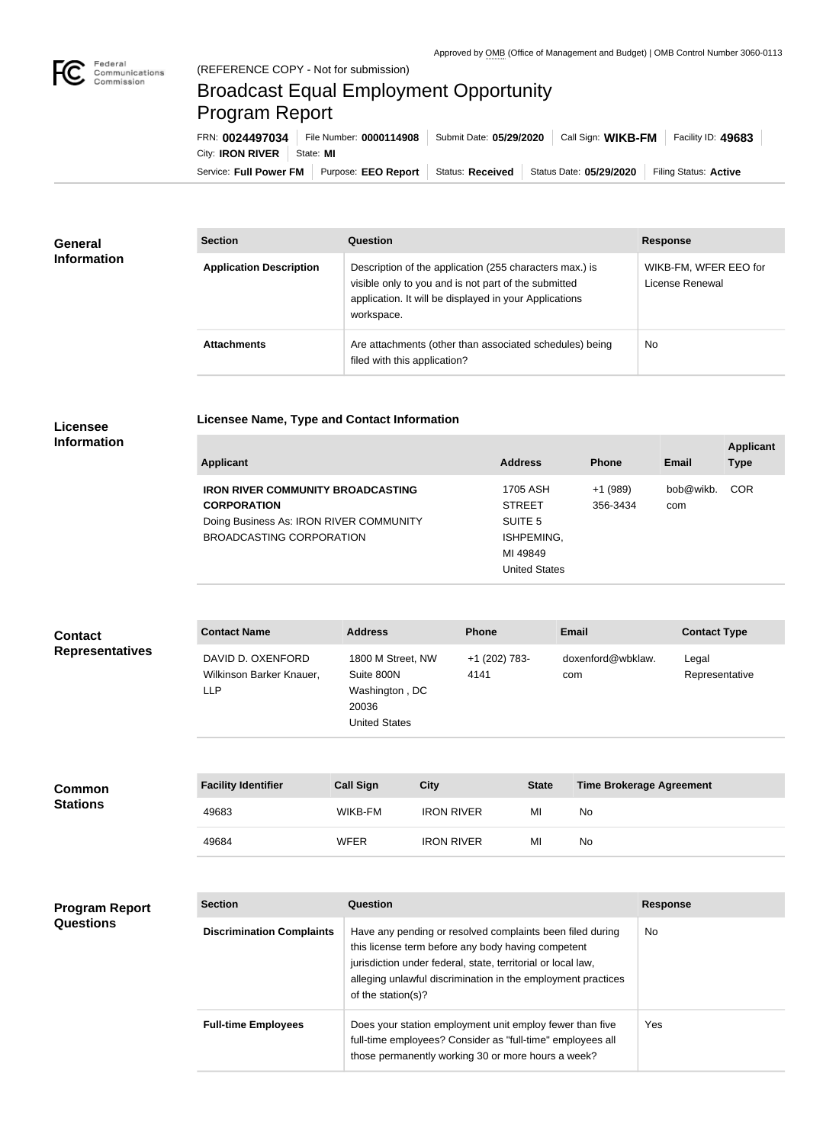

## Broadcast Equal Employment Opportunity Program Report

Service: Full Power FM | Purpose: EEO Report | Status: Received | Status Date: 05/29/2020 | Filing Status: Active City: **IRON RIVER** | State: MI FRN: **0024497034** File Number: **0000114908** Submit Date: **05/29/2020** Call Sign: **WIKB-FM** Facility ID: **49683**

| <b>General</b><br><b>Information</b> | <b>Section</b>                 | Question                                                                                                                                                                                | <b>Response</b>                          |
|--------------------------------------|--------------------------------|-----------------------------------------------------------------------------------------------------------------------------------------------------------------------------------------|------------------------------------------|
|                                      | <b>Application Description</b> | Description of the application (255 characters max.) is<br>visible only to you and is not part of the submitted<br>application. It will be displayed in your Applications<br>workspace. | WIKB-FM, WFER EEO for<br>License Renewal |
|                                      | <b>Attachments</b>             | Are attachments (other than associated schedules) being<br>filed with this application?                                                                                                 | <b>No</b>                                |

## **Licensee Information**

| Licensee Name, Type and Contact Information |  |
|---------------------------------------------|--|
|                                             |  |

| Applicant                                | <b>Address</b> | <b>Phone</b> | Email     | <b>Applicant</b><br><b>Type</b> |
|------------------------------------------|----------------|--------------|-----------|---------------------------------|
| <b>IRON RIVER COMMUNITY BROADCASTING</b> | 1705 ASH       | $+1(989)$    | bob@wikb. | <b>COR</b>                      |
| <b>CORPORATION</b>                       | <b>STREET</b>  | 356-3434     | com       |                                 |
| Doing Business As: IRON RIVER COMMUNITY  | SUITE 5        |              |           |                                 |
| BROADCASTING CORPORATION                 | ISHPEMING,     |              |           |                                 |
|                                          | MI 49849       |              |           |                                 |

| <b>United States</b> |  |
|----------------------|--|
|                      |  |

| <b>Contact</b><br><b>Representatives</b> | <b>Contact Name</b>                                         | <b>Address</b>                                                                     | <b>Phone</b>          |              | Email                           | <b>Contact Type</b>     |
|------------------------------------------|-------------------------------------------------------------|------------------------------------------------------------------------------------|-----------------------|--------------|---------------------------------|-------------------------|
|                                          | DAVID D. OXENFORD<br>Wilkinson Barker Knauer,<br><b>LLP</b> | 1800 M Street, NW<br>Suite 800N<br>Washington, DC<br>20036<br><b>United States</b> | +1 (202) 783-<br>4141 |              | doxenford@wbklaw.<br>com        | Legal<br>Representative |
| <b>Common</b><br><b>Stations</b>         | <b>Facility Identifier</b>                                  | <b>Call Sign</b>                                                                   | <b>City</b>           | <b>State</b> | <b>Time Brokerage Agreement</b> |                         |
|                                          | 49683                                                       | WIKB-FM                                                                            | <b>IRON RIVER</b>     | MI           | No                              |                         |
|                                          | 49684                                                       | <b>WFER</b>                                                                        | <b>IRON RIVER</b>     | MI           | No                              |                         |

| <b>Program Report</b><br><b>Questions</b> | <b>Section</b>                   | <b>Question</b>                                                                                                                                                                                                                                                       | <b>Response</b> |
|-------------------------------------------|----------------------------------|-----------------------------------------------------------------------------------------------------------------------------------------------------------------------------------------------------------------------------------------------------------------------|-----------------|
|                                           | <b>Discrimination Complaints</b> | Have any pending or resolved complaints been filed during<br>this license term before any body having competent<br>jurisdiction under federal, state, territorial or local law,<br>alleging unlawful discrimination in the employment practices<br>of the station(s)? | <b>No</b>       |
|                                           | <b>Full-time Employees</b>       | Does your station employment unit employ fewer than five<br>full-time employees? Consider as "full-time" employees all<br>those permanently working 30 or more hours a week?                                                                                          | Yes.            |